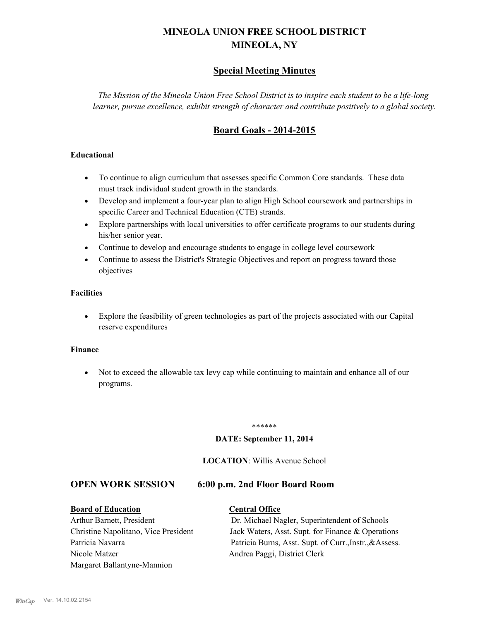# **MINEOLA UNION FREE SCHOOL DISTRICT MINEOLA, NY**

### **Special Meeting Minutes**

*The Mission of the Mineola Union Free School District is to inspire each student to be a life-long learner, pursue excellence, exhibit strength of character and contribute positively to a global society.*

## **Board Goals - 2014-2015**

#### **Educational**

- · To continue to align curriculum that assesses specific Common Core standards. These data must track individual student growth in the standards.
- · Develop and implement a four-year plan to align High School coursework and partnerships in specific Career and Technical Education (CTE) strands.
- · Explore partnerships with local universities to offer certificate programs to our students during his/her senior year.
- · Continue to develop and encourage students to engage in college level coursework
- Continue to assess the District's Strategic Objectives and report on progress toward those objectives

#### **Facilities**

· Explore the feasibility of green technologies as part of the projects associated with our Capital reserve expenditures

#### **Finance**

· Not to exceed the allowable tax levy cap while continuing to maintain and enhance all of our programs.

#### \*\*\*\*\*\*

#### **DATE: September 11, 2014**

#### **LOCATION**: Willis Avenue School

#### **OPEN WORK SESSION 6:00 p.m. 2nd Floor Board Room**

# **Board of Education Central Office**

# Nicole Matzer Andrea Paggi, District Clerk Margaret Ballantyne-Mannion

# Arthur Barnett, President Dr. Michael Nagler, Superintendent of Schools Christine Napolitano, Vice President Jack Waters, Asst. Supt. for Finance & Operations Patricia Navarra Patricia Burns, Asst. Supt. of Curr., Instr., &Assess.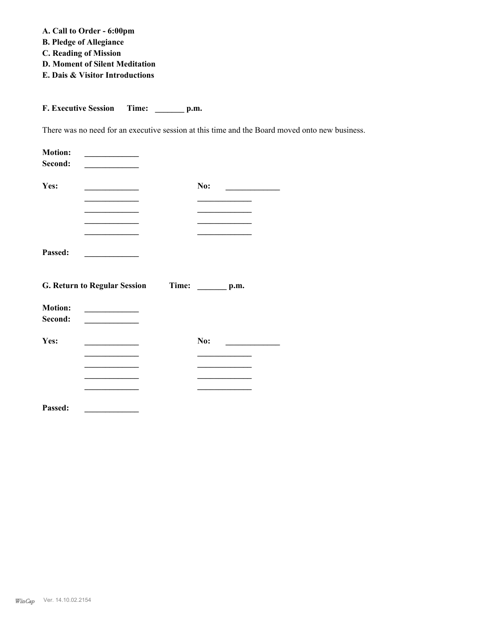**A. Call to Order - 6:00pm**

- **B. Pledge of Allegiance**
- **C. Reading of Mission**
- **D. Moment of Silent Meditation**
- **E. Dais & Visitor Introductions**

**F. Executive Session Time: \_\_\_\_\_\_\_ p.m.**

There was no need for an executive session at this time and the Board moved onto new business.

| <b>Motion:</b><br>Second: |                                                  |                        |  |
|---------------------------|--------------------------------------------------|------------------------|--|
| Yes:                      |                                                  | No:                    |  |
|                           |                                                  |                        |  |
| Passed:                   |                                                  |                        |  |
|                           | <b>G. Return to Regular Session</b>              | Time: $\_\_\_\_p$ p.m. |  |
| <b>Motion:</b><br>Second: | <u> 1989 - Andrea Stationer, Amerikaansk kon</u> |                        |  |
| Yes:                      |                                                  | No:                    |  |
|                           |                                                  |                        |  |
|                           |                                                  |                        |  |
| Passed:                   |                                                  |                        |  |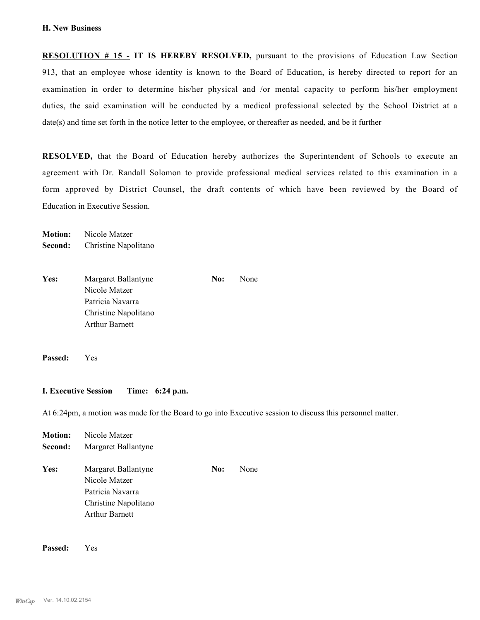**RESOLUTION # 15 - IT IS HEREBY RESOLVED,** pursuant to the provisions of Education Law Section 913, that an employee whose identity is known to the Board of Education, is hereby directed to report for an examination in order to determine his/her physical and /or mental capacity to perform his/her employment duties, the said examination will be conducted by a medical professional selected by the School District at a date(s) and time set forth in the notice letter to the employee, or thereafter as needed, and be it further

**RESOLVED,** that the Board of Education hereby authorizes the Superintendent of Schools to execute an agreement with Dr. Randall Solomon to provide professional medical services related to this examination in a form approved by District Counsel, the draft contents of which have been reviewed by the Board of Education in Executive Session.

**Motion:** Nicole Matzer **Second:** Christine Napolitano

Yes: Margaret Ballantyne **No:** None Nicole Matzer Patricia Navarra Christine Napolitano Arthur Barnett

**Passed:** Yes

#### **I. Executive Session Time: 6:24 p.m.**

At 6:24pm, a motion was made for the Board to go into Executive session to discuss this personnel matter.

| <b>Motion:</b> | Nicole Matzer                                                                                      |     |      |
|----------------|----------------------------------------------------------------------------------------------------|-----|------|
| Second:        | Margaret Ballantyne                                                                                |     |      |
| Yes:           | Margaret Ballantyne<br>Nicole Matzer<br>Patricia Navarra<br>Christine Napolitano<br>Arthur Barnett | No: | None |
|                |                                                                                                    |     |      |

**Passed:** Yes